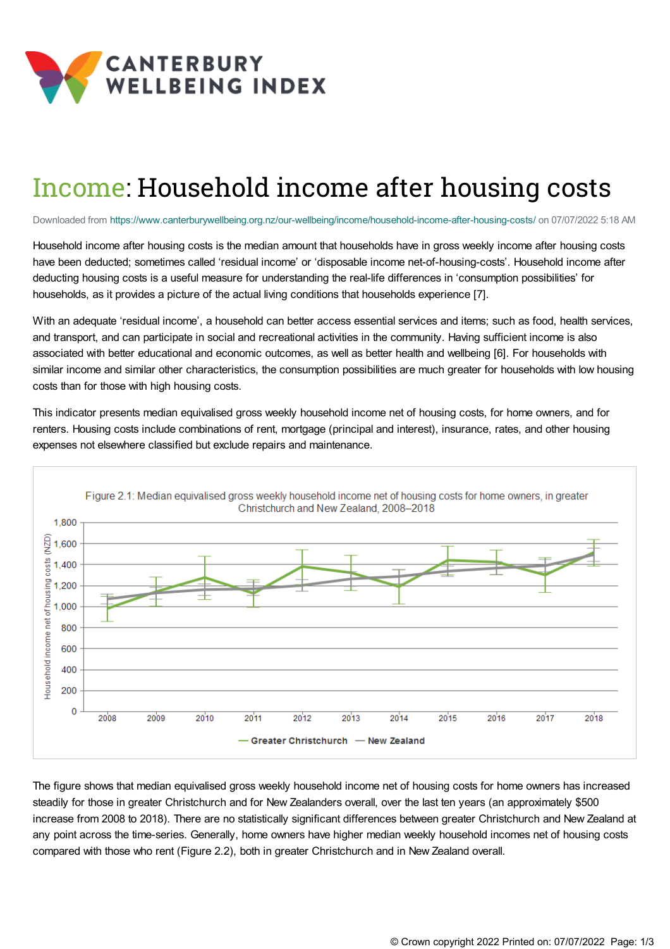

## Income: Household income after housing costs

Downloaded from <https://www.canterburywellbeing.org.nz/our-wellbeing/income/household-income-after-housing-costs/> on 07/07/2022 5:18 AM

Household income after housing costs is the median amount that households have in gross weekly income after housing costs have been deducted; sometimes called 'residual income' or 'disposable income net-of-housing-costs'. Household income after deducting housing costs is a useful measure for understanding the real-life differences in 'consumption possibilities' for households, as it provides a picture of the actual living conditions that households experience [7].

With an adequate 'residual income', a household can better access essential services and items; such as food, health services, and transport, and can participate in social and recreational activities in the community. Having sufficient income is also associated with better educational and economic outcomes, as well as better health and wellbeing [6]. For households with similar income and similar other characteristics, the consumption possibilities are much greater for households with low housing costs than for those with high housing costs.

This indicator presents median equivalised gross weekly household income net of housing costs, for home owners, and for renters. Housing costs include combinations of rent, mortgage (principal and interest), insurance, rates, and other housing expenses not elsewhere classified but exclude repairs and maintenance.



The figure shows that median equivalised gross weekly household income net of housing costs for home owners has increased steadily for those in greater Christchurch and for New Zealanders overall, over the last ten years (an approximately \$500 increase from 2008 to 2018). There are no statistically significant differences between greater Christchurch and New Zealand at any point across the time-series. Generally, home owners have higher median weekly household incomes net of housing costs compared with those who rent (Figure 2.2), both in greater Christchurch and in New Zealand overall.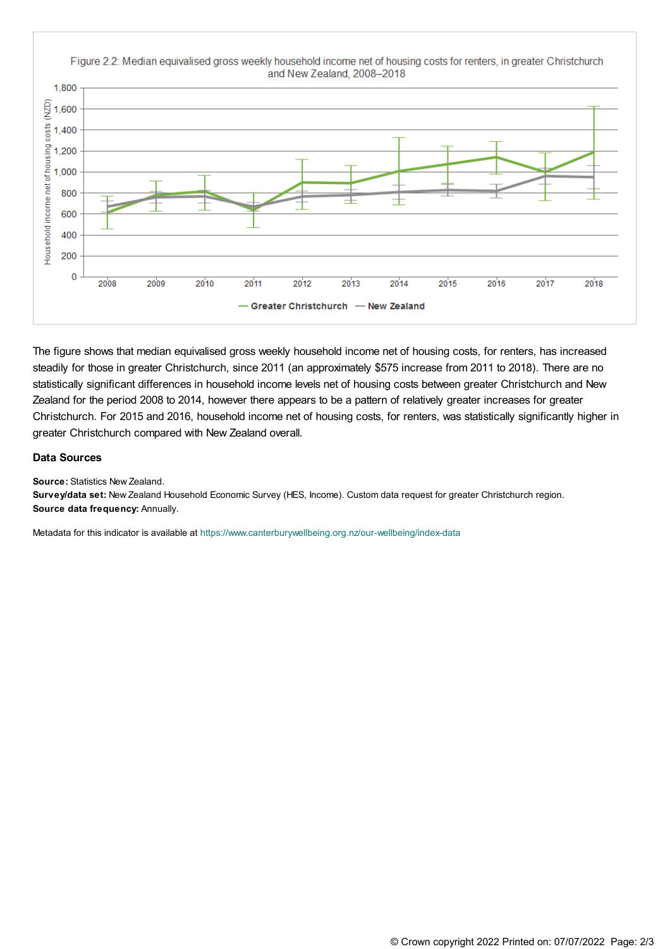

The figure shows that median equivalised gross weekly household income net of housing costs, for renters, has increased steadily for those in greater Christchurch, since 2011 (an approximately \$575 increase from 2011 to 2018). There are no statistically significant differences in household income levels net of housing costs between greater Christchurch and New Zealand for the period 2008 to 2014, however there appears to be a pattern of relatively greater increases for greater Christchurch. For 2015 and 2016, household income net of housing costs, for renters, was statistically significantly higher in greater Christchurch compared with New Zealand overall.

## **Data Sources**

**Source:** Statistics New Zealand.

**Survey/data set:** New Zealand Household Economic Survey (HES, Income). Custom data request for greater Christchurch region. **Source data frequency:** Annually.

Metadata for this indicator is available at [https://www.canterburywellbeing.org.nz/our-wellbeing/index-data](https://www.canterburywellbeing.org.nz/our-wellbeing/site-information/index-data)